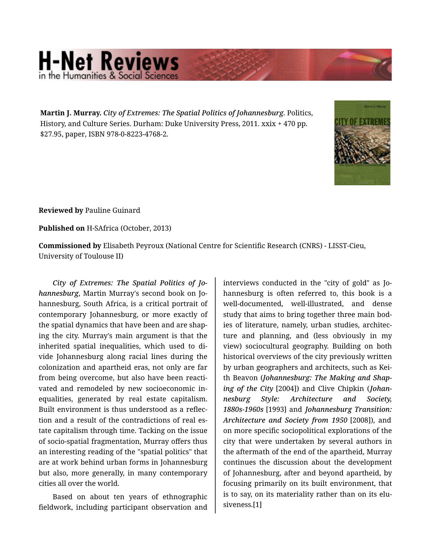## **H-Net Reviews** in the Humanities & Social S

**Martin J. Murray.** *City of Extremes: The Spatial Politics of Johannesburg.* Politics, History, and Culture Series. Durham: Duke University Press, 2011. xxix + 470 pp. \$27.95, paper, ISBN 978-0-8223-4768-2.



**Reviewed by** Pauline Guinard

**Published on** H-SAfrica (October, 2013)

**Commissioned by** Elisabeth Peyroux (National Centre for Scientific Research (CNRS) - LISST-Cieu, University of Toulouse II)

*City of Extremes: The Spatial Politics of Jo‐ hannesburg*, Martin Murray's second book on Jo‐ hannesburg, South Africa, is a critical portrait of contemporary Johannesburg, or more exactly of the spatial dynamics that have been and are shap‐ ing the city. Murray's main argument is that the inherited spatial inequalities, which used to di‐ vide Johannesburg along racial lines during the colonization and apartheid eras, not only are far from being overcome, but also have been reacti‐ vated and remodeled by new socioeconomic in‐ equalities, generated by real estate capitalism. Built environment is thus understood as a reflec‐ tion and a result of the contradictions of real es‐ tate capitalism through time. Tacking on the issue of socio-spatial fragmentation, Murray offers thus an interesting reading of the "spatial politics" that are at work behind urban forms in Johannesburg but also, more generally, in many contemporary cities all over the world.

Based on about ten years of ethnographic fieldwork, including participant observation and

interviews conducted in the "city of gold" as Jo‐ hannesburg is often referred to, this book is a well-documented, well-illustrated, and dense study that aims to bring together three main bod‐ ies of literature, namely, urban studies, architec‐ ture and planning, and (less obviously in my view) sociocultural geography. Building on both historical overviews of the city previously written by urban geographers and architects, such as Kei‐ th Beavon (*Johannesburg: The Making and Shap‐ ing of the City* [2004]) and Clive Chipkin (*Johan‐ nesburg Style: Architecture and Society, 1880s-1960s* [1993] and *Johannesburg Transition: Architecture and Society from 1950* [2008]), and on more specific sociopolitical explorations of the city that were undertaken by several authors in the aftermath of the end of the apartheid, Murray continues the discussion about the development of Johannesburg, after and beyond apartheid, by focusing primarily on its built environment, that is to say, on its materiality rather than on its elu‐ siveness.[1]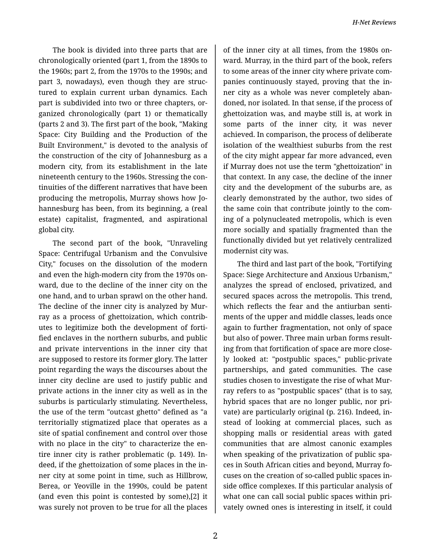The book is divided into three parts that are chronologically oriented (part 1, from the 1890s to the 1960s; part 2, from the 1970s to the 1990s; and part 3, nowadays), even though they are struc‐ tured to explain current urban dynamics. Each part is subdivided into two or three chapters, or‐ ganized chronologically (part 1) or thematically (parts 2 and 3). The first part of the book, "Making Space: City Building and the Production of the Built Environment," is devoted to the analysis of the construction of the city of Johannesburg as a modern city, from its establishment in the late nineteenth century to the 1960s. Stressing the con‐ tinuities of the different narratives that have been producing the metropolis, Murray shows how Jo‐ hannesburg has been, from its beginning, a (real estate) capitalist, fragmented, and aspirational global city.

The second part of the book, "Unraveling Space: Centrifugal Urbanism and the Convulsive City," focuses on the dissolution of the modern and even the high-modern city from the 1970s on‐ ward, due to the decline of the inner city on the one hand, and to urban sprawl on the other hand. The decline of the inner city is analyzed by Mur‐ ray as a process of ghettoization, which contrib‐ utes to legitimize both the development of forti‐ fied enclaves in the northern suburbs, and public and private interventions in the inner city that are supposed to restore its former glory. The latter point regarding the ways the discourses about the inner city decline are used to justify public and private actions in the inner city as well as in the suburbs is particularly stimulating. Nevertheless, the use of the term "outcast ghetto" defined as "a territorially stigmatized place that operates as a site of spatial confinement and control over those with no place in the city" to characterize the en‐ tire inner city is rather problematic (p. 149). In‐ deed, if the ghettoization of some places in the in‐ ner city at some point in time, such as Hillbrow, Berea, or Yeoville in the 1990s, could be patent (and even this point is contested by some),[2] it was surely not proven to be true for all the places

of the inner city at all times, from the 1980s on‐ ward. Murray, in the third part of the book, refers to some areas of the inner city where private com‐ panies continuously stayed, proving that the in‐ ner city as a whole was never completely aban‐ doned, nor isolated. In that sense, if the process of ghettoization was, and maybe still is, at work in some parts of the inner city, it was never achieved. In comparison, the process of deliberate isolation of the wealthiest suburbs from the rest of the city might appear far more advanced, even if Murray does not use the term "ghettoization" in that context. In any case, the decline of the inner city and the development of the suburbs are, as clearly demonstrated by the author, two sides of the same coin that contribute jointly to the com‐ ing of a polynucleated metropolis, which is even more socially and spatially fragmented than the functionally divided but yet relatively centralized modernist city was.

The third and last part of the book, "Fortifying Space: Siege Architecture and Anxious Urbanism," analyzes the spread of enclosed, privatized, and secured spaces across the metropolis. This trend, which reflects the fear and the antiurban sentiments of the upper and middle classes, leads once again to further fragmentation, not only of space but also of power. Three main urban forms result‐ ing from that fortification of space are more close‐ ly looked at: "postpublic spaces," public-private partnerships, and gated communities. The case studies chosen to investigate the rise of what Mur‐ ray refers to as "postpublic spaces" (that is to say, hybrid spaces that are no longer public, nor pri‐ vate) are particularly original (p. 216). Indeed, in‐ stead of looking at commercial places, such as shopping malls or residential areas with gated communities that are almost canonic examples when speaking of the privatization of public spaces in South African cities and beyond, Murray fo‐ cuses on the creation of so-called public spaces in‐ side office complexes. If this particular analysis of what one can call social public spaces within pri‐ vately owned ones is interesting in itself, it could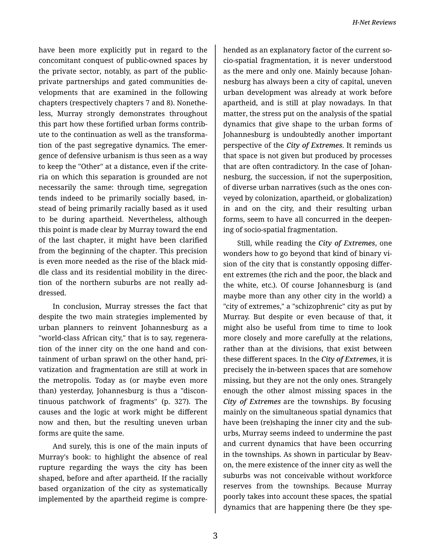have been more explicitly put in regard to the concomitant conquest of public-owned spaces by the private sector, notably, as part of the publicprivate partnerships and gated communities de‐ velopments that are examined in the following chapters (respectively chapters 7 and 8). Nonethe‐ less, Murray strongly demonstrates throughout this part how these fortified urban forms contrib‐ ute to the continuation as well as the transforma‐ tion of the past segregative dynamics. The emer‐ gence of defensive urbanism is thus seen as a way to keep the "Other" at a distance, even if the crite‐ ria on which this separation is grounded are not necessarily the same: through time, segregation tends indeed to be primarily socially based, in‐ stead of being primarily racially based as it used to be during apartheid. Nevertheless, although this point is made clear by Murray toward the end of the last chapter, it might have been clarified from the beginning of the chapter. This precision is even more needed as the rise of the black mid‐ dle class and its residential mobility in the direc‐ tion of the northern suburbs are not really ad‐ dressed.

In conclusion, Murray stresses the fact that despite the two main strategies implemented by urban planners to reinvent Johannesburg as a "world-class African city," that is to say, regenera‐ tion of the inner city on the one hand and con‐ tainment of urban sprawl on the other hand, pri‐ vatization and fragmentation are still at work in the metropolis. Today as (or maybe even more than) yesterday, Johannesburg is thus a "discon‐ tinuous patchwork of fragments" (p. 327). The causes and the logic at work might be different now and then, but the resulting uneven urban forms are quite the same.

And surely, this is one of the main inputs of Murray's book: to highlight the absence of real rupture regarding the ways the city has been shaped, before and after apartheid. If the racially based organization of the city as systematically implemented by the apartheid regime is compre‐

hended as an explanatory factor of the current so‐ cio-spatial fragmentation, it is never understood as the mere and only one. Mainly because Johan‐ nesburg has always been a city of capital, uneven urban development was already at work before apartheid, and is still at play nowadays. In that matter, the stress put on the analysis of the spatial dynamics that give shape to the urban forms of Johannesburg is undoubtedly another important perspective of the *City of Extremes*. It reminds us that space is not given but produced by processes that are often contradictory. In the case of Johan‐ nesburg, the succession, if not the superposition, of diverse urban narratives (such as the ones con‐ veyed by colonization, apartheid, or globalization) in and on the city, and their resulting urban forms, seem to have all concurred in the deepen‐ ing of socio-spatial fragmentation.

Still, while reading the *City of Extremes*, one wonders how to go beyond that kind of binary vi‐ sion of the city that is constantly opposing differ‐ ent extremes (the rich and the poor, the black and the white, etc.). Of course Johannesburg is (and maybe more than any other city in the world) a "city of extremes," a "schizophrenic" city as put by Murray. But despite or even because of that, it might also be useful from time to time to look more closely and more carefully at the relations, rather than at the divisions, that exist between these different spaces. In the *City of Extremes*, it is precisely the in-between spaces that are somehow missing, but they are not the only ones. Strangely enough the other almost missing spaces in the *City of Extremes* are the townships. By focusing mainly on the simultaneous spatial dynamics that have been (re)shaping the inner city and the sub‐ urbs, Murray seems indeed to undermine the past and current dynamics that have been occurring in the townships. As shown in particular by Beavon, the mere existence of the inner city as well the suburbs was not conceivable without workforce reserves from the townships. Because Murray poorly takes into account these spaces, the spatial dynamics that are happening there (be they spe‐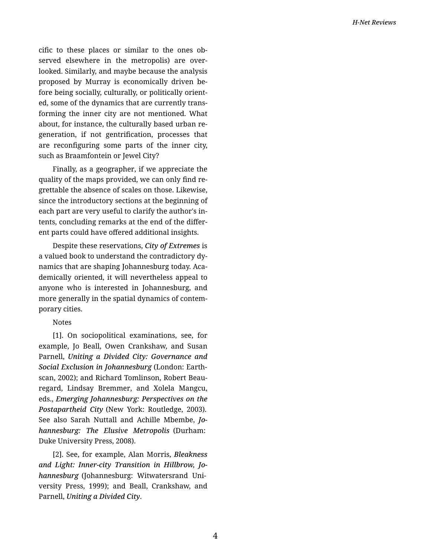cific to these places or similar to the ones ob‐ served elsewhere in the metropolis) are over‐ looked. Similarly, and maybe because the analysis proposed by Murray is economically driven be‐ fore being socially, culturally, or politically orient‐ ed, some of the dynamics that are currently trans‐ forming the inner city are not mentioned. What about, for instance, the culturally based urban re‐ generation, if not gentrification, processes that are reconfiguring some parts of the inner city, such as Braamfontein or Jewel City?

Finally, as a geographer, if we appreciate the quality of the maps provided, we can only find re‐ grettable the absence of scales on those. Likewise, since the introductory sections at the beginning of each part are very useful to clarify the author's in‐ tents, concluding remarks at the end of the differ‐ ent parts could have offered additional insights.

Despite these reservations, *City of Extremes* is a valued book to understand the contradictory dy‐ namics that are shaping Johannesburg today. Aca‐ demically oriented, it will nevertheless appeal to anyone who is interested in Johannesburg, and more generally in the spatial dynamics of contem‐ porary cities.

## Notes

[1]. On sociopolitical examinations, see, for example, Jo Beall, Owen Crankshaw, and Susan Parnell, *Uniting a Divided City: Governance and Social Exclusion in Johannesburg* (London: Earth‐ scan, 2002); and Richard Tomlinson, Robert Beau‐ regard, Lindsay Bremmer, and Xolela Mangcu, eds., *Emerging Johannesburg: Perspectives on the Postapartheid City* (New York: Routledge, 2003). See also Sarah Nuttall and Achille Mbembe, *Jo‐ hannesburg: The Elusive Metropolis* (Durham: Duke University Press, 2008).

[2]. See, for example, Alan Morris, *Bleakness and Light: Inner-city Transition in Hillbrow, Jo‐ hannesburg* (Johannesburg: Witwatersrand Uni‐ versity Press, 1999); and Beall, Crankshaw, and Parnell, *Uniting a Divided City*.